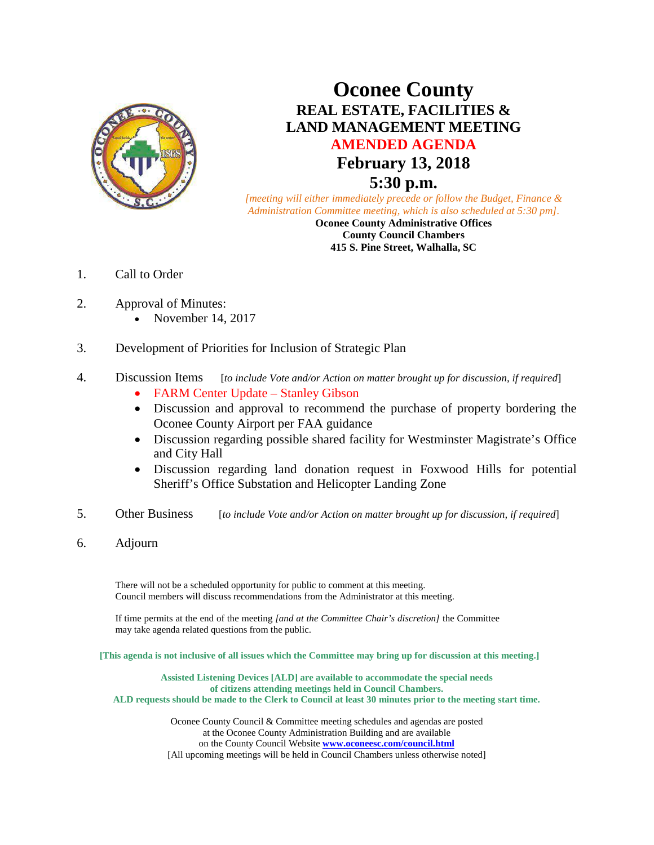

# **Oconee County REAL ESTATE, FACILITIES & LAND MANAGEMENT MEETING AMENDED AGENDA February 13, 2018 5:30 p.m.**

*[meeting will either immediately precede or follow the Budget, Finance & Administration Committee meeting, which is also scheduled at 5:30 pm].*

**Oconee County Administrative Offices County Council Chambers 415 S. Pine Street, Walhalla, SC**

- 1. Call to Order
- 2. Approval of Minutes:
	- November 14, 2017
- 3. Development of Priorities for Inclusion of Strategic Plan

## 4. Discussion Items [*to include Vote and/or Action on matter brought up for discussion, if required*]

- FARM Center Update Stanley Gibson
- Discussion and approval to recommend the purchase of property bordering the Oconee County Airport per FAA guidance
- Discussion regarding possible shared facility for Westminster Magistrate's Office and City Hall
- Discussion regarding land donation request in Foxwood Hills for potential Sheriff's Office Substation and Helicopter Landing Zone
- 5. Other Business [*to include Vote and/or Action on matter brought up for discussion, if required*]
- 6. Adjourn

There will not be a scheduled opportunity for public to comment at this meeting. Council members will discuss recommendations from the Administrator at this meeting.

If time permits at the end of the meeting *[and at the Committee Chair's discretion]* the Committee may take agenda related questions from the public.

**[This agenda is not inclusive of all issues which the Committee may bring up for discussion at this meeting.]**

**Assisted Listening Devices [ALD] are available to accommodate the special needs of citizens attending meetings held in Council Chambers. ALD requests should be made to the Clerk to Council at least 30 minutes prior to the meeting start time.**

> Oconee County Council & Committee meeting schedules and agendas are posted at the Oconee County Administration Building and are available on the County Council Website **[www.oconeesc.com/council.html](http://www.oconeesc.com/council.html)** [All upcoming meetings will be held in Council Chambers unless otherwise noted]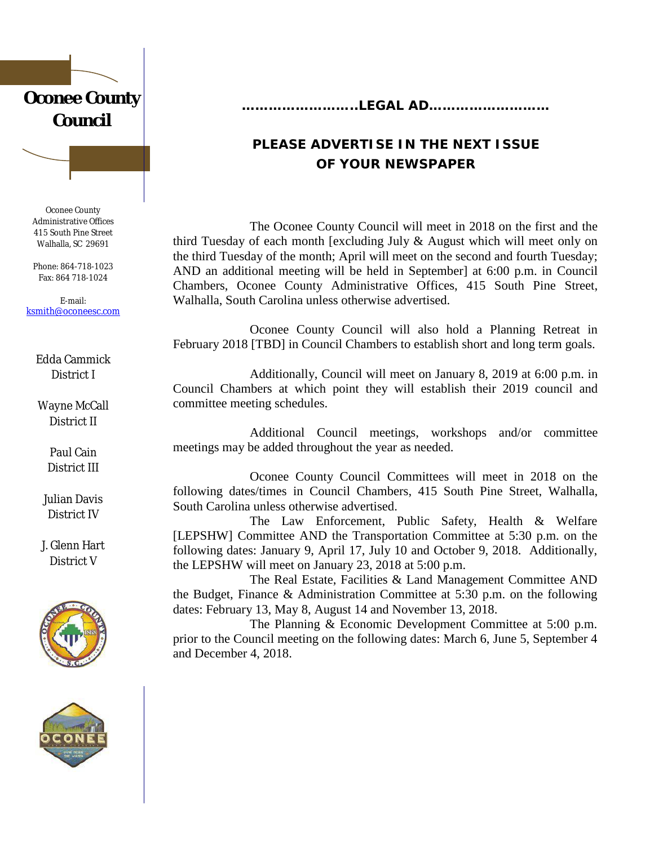# **Oconee County Council**

Oconee County Administrative Offices 415 South Pine Street Walhalla, SC 29691

Phone: 864-718-1023 Fax: 864 718-1024

E-mail: [ksmith@oconeesc.com](mailto:ksmith@oconeesc.com)

Edda Cammick District I

Wayne **McCall** District II

> Paul Cain District III

Julian Davis District IV

J. Glenn Hart District V





**……………………..LEGAL AD………………………**

# **PLEASE ADVERTISE IN THE NEXT ISSUE OF YOUR NEWSPAPER**

The Oconee County Council will meet in 2018 on the first and the third Tuesday of each month [excluding July & August which will meet only on the third Tuesday of the month; April will meet on the second and fourth Tuesday; AND an additional meeting will be held in September] at 6:00 p.m. in Council Chambers, Oconee County Administrative Offices, 415 South Pine Street, Walhalla, South Carolina unless otherwise advertised.

Oconee County Council will also hold a Planning Retreat in February 2018 [TBD] in Council Chambers to establish short and long term goals.

Additionally, Council will meet on January 8, 2019 at 6:00 p.m. in Council Chambers at which point they will establish their 2019 council and committee meeting schedules.

Additional Council meetings, workshops and/or committee meetings may be added throughout the year as needed.

Oconee County Council Committees will meet in 2018 on the following dates/times in Council Chambers, 415 South Pine Street, Walhalla, South Carolina unless otherwise advertised.

The Law Enforcement, Public Safety, Health & Welfare [LEPSHW] Committee AND the Transportation Committee at 5:30 p.m. on the following dates: January 9, April 17, July 10 and October 9, 2018. Additionally, the LEPSHW will meet on January 23, 2018 at 5:00 p.m.

The Real Estate, Facilities & Land Management Committee AND the Budget, Finance & Administration Committee at 5:30 p.m. on the following dates: February 13, May 8, August 14 and November 13, 2018.

The Planning & Economic Development Committee at 5:00 p.m. prior to the Council meeting on the following dates: March 6, June 5, September 4 and December 4, 2018.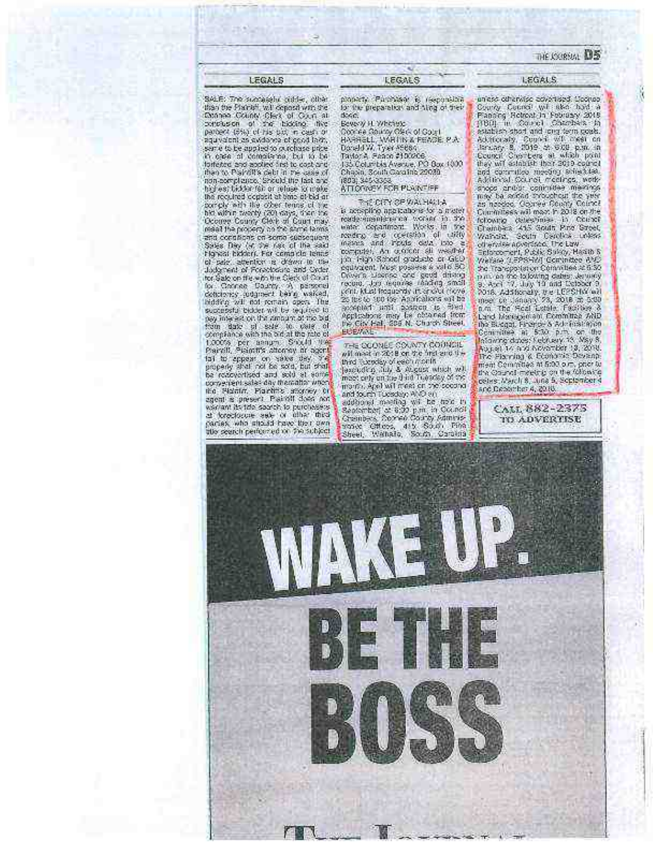#### THE LOOKING DIS

## LEGALS SALE: The successful ciddle, ciber

star the Planet will depend with the<br>Etissippe County Clerk of Court at<br>contraster of the bidding. The<br>partiest (Statist First bid, in cash of

aquivalent as swide we of cool laws, serve to be appled to putchase price in case of completes, but to be

forfered and applied first to cost and<br>then to Piaintiff's debt in the case of<br>inon-admplisima, Should the fast and

highest bidder fail or reluse to make the required copiest at time at bid an

comply with the other tenns of the

bot sales maintains of the sales of the Dicores County (20) days, then the Dicores County (20) days, then have<br>the Dicores County (20) days, then have<br>read the protecty on the same terms<br>and conditions on some consequent.<br>

of pair, attention is drawn to the

understand of Forechocine and Grden<br>for Sale on the with the Clerk of Court<br>for Channel County, A personal deficiency (odgment being walked,<br>hidding will not remain open. The

supposite biddet will be required to pay interest on this amount at the bid

pay measure of the set to set of companies of complete and complete the set of the set of the set of the set of the set of the set of the set of the set of the set of the set of the set of the set of the set of the set of

comentent sales day thematic when

the Plainter, Plaintiffic acceptery of

warrant its tide sparch to purchases at foreclosure wide of other than place the contribution who subject

**LEGALS** 

×

property. Palersian is responsible dose. Bevery H. Whitters Concer Couny (Nec of Court)<br>HARRELL, WATIN & FEADE P.A.<br>Doneld W. Tyer (1986)<br>Taylor & Feade #100006 135 Columbia Avenue, PO Box 1000<br>Chiasin, South Garainis 20089 (803) SAS-3353<br>ATTORIGEY FOR PLAINTIFF

THE CITY OF WALFIELDA is accepting applications for a more) is accepting the contract to an extensive process to the water of central the model of central the model of central fields of a central the model of central the central of central particle of the central particle of the ce particular team is a contract of the process is valid 50<br>Cross a Lisence and good driving<br>record. Job requires thirding small<br>(Kint Must hequeral) is a cost close zo les to 300 68 Audioakore est ba<br>acopted unit acateur 18 Fired<br>Applications may be obtained from<br>the City Fal, 205 N. Church Street.<br>BibBook **BOEVALL** 

 $\begin{array}{l} \mbox{res: GCOMEC CONFT COONSE}\\ \mbox{with most $n$ 2018 or $n$ 5 red and $n$ 16  
med exactly of each $n$ 0th  
bound $n$ 0.0th  
for only $n$ 0.0th  
measured by the third University of 960.$ month, April will meet on the second audoorel meeting wil be trac in September at 6:00 p.m. in Council<br>Greenbers, Cornel County Administrative Children, 415, South Pinn<br>Sheet, Wahalo, South County

uness otherwise advertised Clocker<br>County, Council with their hold in<br>Francing Helmont In Francisco 2018<br>[180] In Council Chambers In Frout in the fact and crig form posts.<br>Additionally, Council will meet on<br>January 8, 2019 at 900 p.m. in<br>Council Chembers at which point they will scientist: their 2010 council<br>and commutee meeting scientist.<br>Additional Council meetings, work Amore and/structure meanings were<br>may be added avoidable meanings<br>may be added avoidable the year<br>commissional may be an the commission of<br>following cases may be a street<br>Chamber 415 Gouth Pine Greet<br>Wariad, Section Distri

**LEGALS** 

Walkard, Scutin Detellos, unider<br>
offsetter approach the Law<br>
Ediscoperation (Pack Spiery, Hasta 5<br>
Ediscoperation Committee (PS)<br>
Scuting Committee (PS)<br>
Scuting Committee (PS)<br>
Due to the Spiery (Pack Spiery)<br>
2016 Addi Royal 14 and November 13, 2014<br>The Planning & Economic Devent<br>The Planning & Economic Devent<br>The Qaund meeting on the following<br>Teles March 8, Juna 5, September 4 and Departher A, 2010.

> CALL 882-2375 TO ADVERTISE

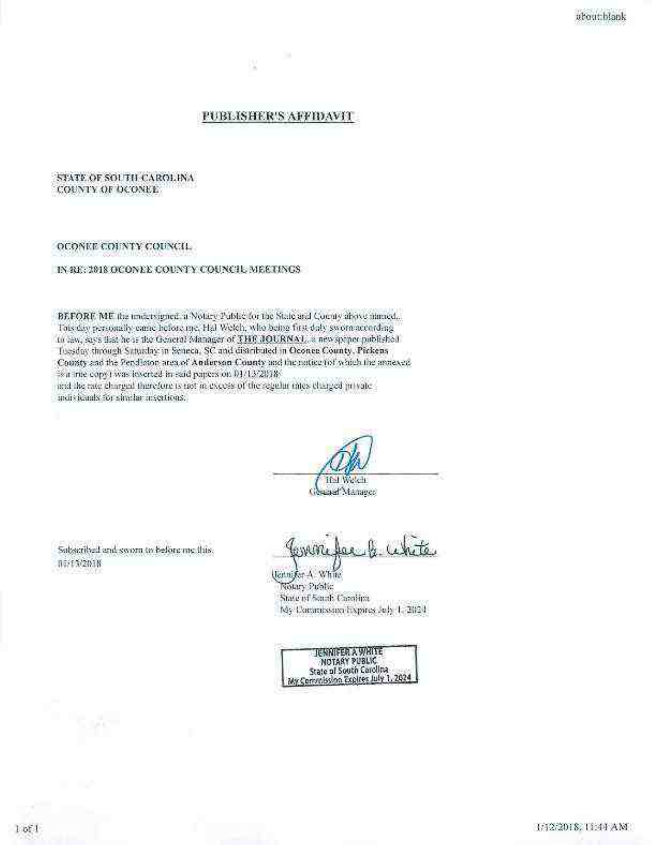## PUBLISHER'S AFFIDAVIT

Iš.

### STATE OF SOUTH CAROLINA COUNTY OF DUONEE.

#### OCONEE COUNTY COUNCIL

IN RE: 2018 OCONEE COUNTY COUNCIL MEETINGS

BEFORE ME the undersigned a Notary Public for the State and County above numed... This day personally came before me. Hal Welch, who being first day sworn according to law, says that he is the General Manager of THE JOURNAL, a new sprince published Toesday through Saturday in Seneca, SC and distributed in Oconee County, Pickens County and the Pendleton area of Auderson County and the nation of which the annexed 18 a true copy I was lesserted in said papers on 01/13/2818. and the rate charged therefore is not in excess of the regular mics charged provate-

murvicants for situatar insertions.

**The Watch** Gesaad Manager

Sabscribed and sworn to before me this. 80/15/2018

licitni for A. White Notary Public State of South Carolina My Commission lixpines July 1, 2024